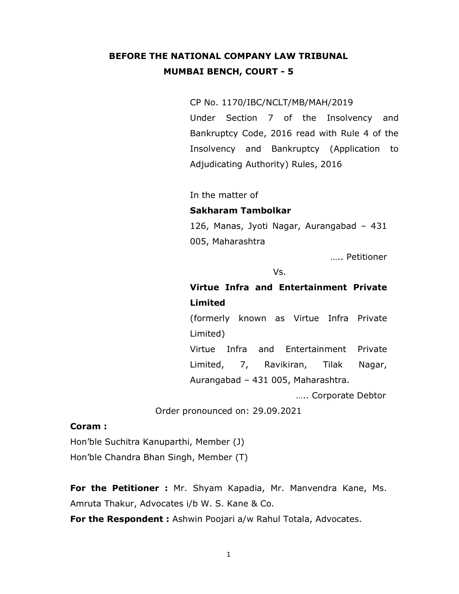# BEFORE THE NATIONAL COMPANY LAW TRIBUNAL MUMBAI BENCH, COURT - 5

#### CP No. 1170/IBC/NCLT/MB/MAH/2019

Under Section 7 of the Insolvency and Bankruptcy Code, 2016 read with Rule 4 of the Insolvency and Bankruptcy (Application to Adjudicating Authority) Rules, 2016

In the matter of

#### Sakharam Tambolkar

126, Manas, Jyoti Nagar, Aurangabad – 431 005, Maharashtra

….. Petitioner

Vs.

# Virtue Infra and Entertainment Private Limited

(formerly known as Virtue Infra Private Limited)

Virtue Infra and Entertainment Private Limited, 7, Ravikiran, Tilak Nagar, Aurangabad – 431 005, Maharashtra.

….. Corporate Debtor

Order pronounced on: 29.09.2021

#### Coram :

Hon'ble Suchitra Kanuparthi, Member (J) Hon'ble Chandra Bhan Singh, Member (T)

For the Petitioner : Mr. Shyam Kapadia, Mr. Manvendra Kane, Ms. Amruta Thakur, Advocates i/b W. S. Kane & Co.

For the Respondent : Ashwin Poojari a/w Rahul Totala, Advocates.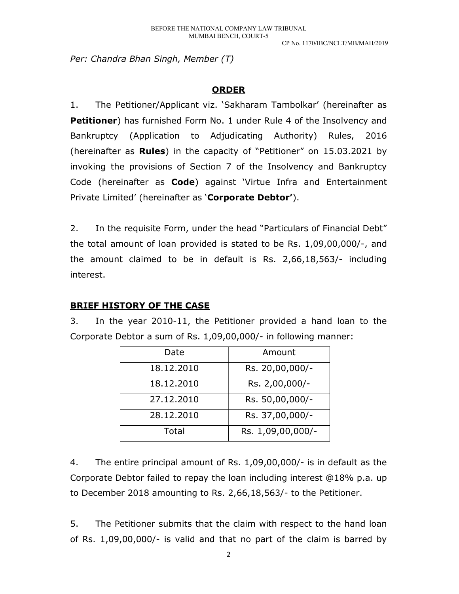Per: Chandra Bhan Singh, Member (T)

### ORDER

1. The Petitioner/Applicant viz. 'Sakharam Tambolkar' (hereinafter as Petitioner) has furnished Form No. 1 under Rule 4 of the Insolvency and Bankruptcy (Application to Adjudicating Authority) Rules, 2016 (hereinafter as **Rules**) in the capacity of "Petitioner" on  $15.03.2021$  by invoking the provisions of Section 7 of the Insolvency and Bankruptcy Code (hereinafter as **Code**) against 'Virtue Infra and Entertainment Private Limited' (hereinafter as 'Corporate Debtor').

2. In the requisite Form, under the head "Particulars of Financial Debt" the total amount of loan provided is stated to be Rs. 1,09,00,000/-, and the amount claimed to be in default is Rs. 2,66,18,563/- including interest.

### BRIEF HISTORY OF THE CASE

3. In the year 2010-11, the Petitioner provided a hand loan to the Corporate Debtor a sum of Rs. 1,09,00,000/- in following manner:

| Date       | Amount            |
|------------|-------------------|
| 18.12.2010 | Rs. 20,00,000/-   |
| 18.12.2010 | Rs. 2,00,000/-    |
| 27.12.2010 | Rs. 50,00,000/-   |
| 28.12.2010 | Rs. 37,00,000/-   |
| Total      | Rs. 1,09,00,000/- |

4. The entire principal amount of Rs. 1,09,00,000/- is in default as the Corporate Debtor failed to repay the loan including interest @18% p.a. up to December 2018 amounting to Rs. 2,66,18,563/- to the Petitioner.

5. The Petitioner submits that the claim with respect to the hand loan of Rs. 1,09,00,000/- is valid and that no part of the claim is barred by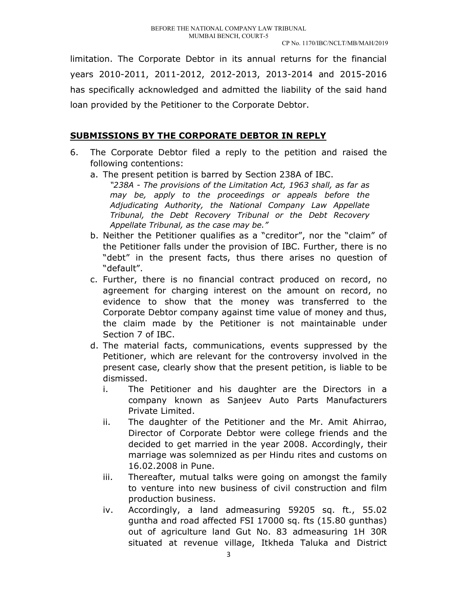limitation. The Corporate Debtor in its annual returns for the financial years 2010-2011, 2011-2012, 2012-2013, 2013-2014 and 2015-2016 has specifically acknowledged and admitted the liability of the said hand loan provided by the Petitioner to the Corporate Debtor.

### SUBMISSIONS BY THE CORPORATE DEBTOR IN REPLY

- 6. The Corporate Debtor filed a reply to the petition and raised the following contentions:
	- a. The present petition is barred by Section 238A of IBC. "238A - The provisions of the Limitation Act, 1963 shall, as far as may be, apply to the proceedings or appeals before the Adjudicating Authority, the National Company Law Appellate Tribunal, the Debt Recovery Tribunal or the Debt Recovery Appellate Tribunal, as the case may be."
	- b. Neither the Petitioner qualifies as a "creditor", nor the "claim" of the Petitioner falls under the provision of IBC. Further, there is no "debt" in the present facts, thus there arises no question of "default".
	- c. Further, there is no financial contract produced on record, no agreement for charging interest on the amount on record, no evidence to show that the money was transferred to the Corporate Debtor company against time value of money and thus, the claim made by the Petitioner is not maintainable under Section 7 of IBC.
	- d. The material facts, communications, events suppressed by the Petitioner, which are relevant for the controversy involved in the present case, clearly show that the present petition, is liable to be dismissed.
		- i. The Petitioner and his daughter are the Directors in a company known as Sanjeev Auto Parts Manufacturers Private Limited.
		- ii. The daughter of the Petitioner and the Mr. Amit Ahirrao, Director of Corporate Debtor were college friends and the decided to get married in the year 2008. Accordingly, their marriage was solemnized as per Hindu rites and customs on 16.02.2008 in Pune.
		- iii. Thereafter, mutual talks were going on amongst the family to venture into new business of civil construction and film production business.
		- iv. Accordingly, a land admeasuring 59205 sq. ft., 55.02 guntha and road affected FSI 17000 sq. fts (15.80 gunthas) out of agriculture land Gut No. 83 admeasuring 1H 30R situated at revenue village, Itkheda Taluka and District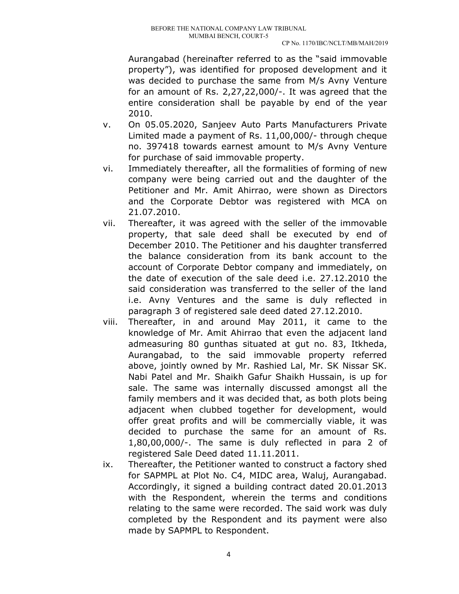Aurangabad (hereinafter referred to as the "said immovable property"), was identified for proposed development and it was decided to purchase the same from M/s Avny Venture for an amount of Rs. 2,27,22,000/-. It was agreed that the entire consideration shall be payable by end of the year 2010.

- v. On 05.05.2020, Sanjeev Auto Parts Manufacturers Private Limited made a payment of Rs. 11,00,000/- through cheque no. 397418 towards earnest amount to M/s Avny Venture for purchase of said immovable property.
- vi. Immediately thereafter, all the formalities of forming of new company were being carried out and the daughter of the Petitioner and Mr. Amit Ahirrao, were shown as Directors and the Corporate Debtor was registered with MCA on 21.07.2010.
- vii. Thereafter, it was agreed with the seller of the immovable property, that sale deed shall be executed by end of December 2010. The Petitioner and his daughter transferred the balance consideration from its bank account to the account of Corporate Debtor company and immediately, on the date of execution of the sale deed i.e. 27.12.2010 the said consideration was transferred to the seller of the land i.e. Avny Ventures and the same is duly reflected in paragraph 3 of registered sale deed dated 27.12.2010.
- viii. Thereafter, in and around May 2011, it came to the knowledge of Mr. Amit Ahirrao that even the adjacent land admeasuring 80 gunthas situated at gut no. 83, Itkheda, Aurangabad, to the said immovable property referred above, jointly owned by Mr. Rashied Lal, Mr. SK Nissar SK. Nabi Patel and Mr. Shaikh Gafur Shaikh Hussain, is up for sale. The same was internally discussed amongst all the family members and it was decided that, as both plots being adjacent when clubbed together for development, would offer great profits and will be commercially viable, it was decided to purchase the same for an amount of Rs. 1,80,00,000/-. The same is duly reflected in para 2 of registered Sale Deed dated 11.11.2011.
- ix. Thereafter, the Petitioner wanted to construct a factory shed for SAPMPL at Plot No. C4, MIDC area, Waluj, Aurangabad. Accordingly, it signed a building contract dated 20.01.2013 with the Respondent, wherein the terms and conditions relating to the same were recorded. The said work was duly completed by the Respondent and its payment were also made by SAPMPL to Respondent.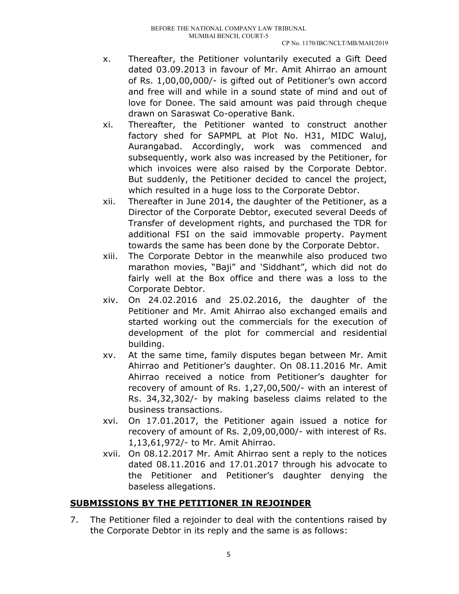- x. Thereafter, the Petitioner voluntarily executed a Gift Deed dated 03.09.2013 in favour of Mr. Amit Ahirrao an amount of Rs. 1,00,00,000/- is gifted out of Petitioner's own accord and free will and while in a sound state of mind and out of love for Donee. The said amount was paid through cheque drawn on Saraswat Co-operative Bank.
- xi. Thereafter, the Petitioner wanted to construct another factory shed for SAPMPL at Plot No. H31, MIDC Waluj, Aurangabad. Accordingly, work was commenced and subsequently, work also was increased by the Petitioner, for which invoices were also raised by the Corporate Debtor. But suddenly, the Petitioner decided to cancel the project, which resulted in a huge loss to the Corporate Debtor.
- xii. Thereafter in June 2014, the daughter of the Petitioner, as a Director of the Corporate Debtor, executed several Deeds of Transfer of development rights, and purchased the TDR for additional FSI on the said immovable property. Payment towards the same has been done by the Corporate Debtor.
- xiii. The Corporate Debtor in the meanwhile also produced two marathon movies, "Baji" and 'Siddhant", which did not do fairly well at the Box office and there was a loss to the Corporate Debtor.
- xiv. On 24.02.2016 and 25.02.2016, the daughter of the Petitioner and Mr. Amit Ahirrao also exchanged emails and started working out the commercials for the execution of development of the plot for commercial and residential building.
- xv. At the same time, family disputes began between Mr. Amit Ahirrao and Petitioner's daughter. On 08.11.2016 Mr. Amit Ahirrao received a notice from Petitioner's daughter for recovery of amount of Rs. 1,27,00,500/- with an interest of Rs. 34,32,302/- by making baseless claims related to the business transactions.
- xvi. On 17.01.2017, the Petitioner again issued a notice for recovery of amount of Rs. 2,09,00,000/- with interest of Rs. 1,13,61,972/- to Mr. Amit Ahirrao.
- xvii. On 08.12.2017 Mr. Amit Ahirrao sent a reply to the notices dated 08.11.2016 and 17.01.2017 through his advocate to the Petitioner and Petitioner's daughter denying the baseless allegations.

## SUBMISSIONS BY THE PETITIONER IN REJOINDER

7. The Petitioner filed a rejoinder to deal with the contentions raised by the Corporate Debtor in its reply and the same is as follows: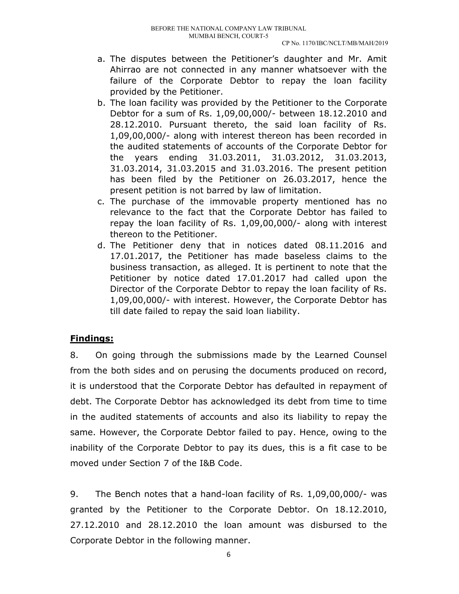- a. The disputes between the Petitioner's daughter and Mr. Amit Ahirrao are not connected in any manner whatsoever with the failure of the Corporate Debtor to repay the loan facility provided by the Petitioner.
- b. The loan facility was provided by the Petitioner to the Corporate Debtor for a sum of Rs. 1,09,00,000/- between 18.12.2010 and 28.12.2010. Pursuant thereto, the said loan facility of Rs. 1,09,00,000/- along with interest thereon has been recorded in the audited statements of accounts of the Corporate Debtor for the years ending 31.03.2011, 31.03.2012, 31.03.2013, 31.03.2014, 31.03.2015 and 31.03.2016. The present petition has been filed by the Petitioner on 26.03.2017, hence the present petition is not barred by law of limitation.
- c. The purchase of the immovable property mentioned has no relevance to the fact that the Corporate Debtor has failed to repay the loan facility of Rs. 1,09,00,000/- along with interest thereon to the Petitioner.
- d. The Petitioner deny that in notices dated 08.11.2016 and 17.01.2017, the Petitioner has made baseless claims to the business transaction, as alleged. It is pertinent to note that the Petitioner by notice dated 17.01.2017 had called upon the Director of the Corporate Debtor to repay the loan facility of Rs. 1,09,00,000/- with interest. However, the Corporate Debtor has till date failed to repay the said loan liability.

## Findings:

8. On going through the submissions made by the Learned Counsel from the both sides and on perusing the documents produced on record, it is understood that the Corporate Debtor has defaulted in repayment of debt. The Corporate Debtor has acknowledged its debt from time to time in the audited statements of accounts and also its liability to repay the same. However, the Corporate Debtor failed to pay. Hence, owing to the inability of the Corporate Debtor to pay its dues, this is a fit case to be moved under Section 7 of the I&B Code.

9. The Bench notes that a hand-loan facility of Rs. 1,09,00,000/- was granted by the Petitioner to the Corporate Debtor. On 18.12.2010, 27.12.2010 and 28.12.2010 the loan amount was disbursed to the Corporate Debtor in the following manner.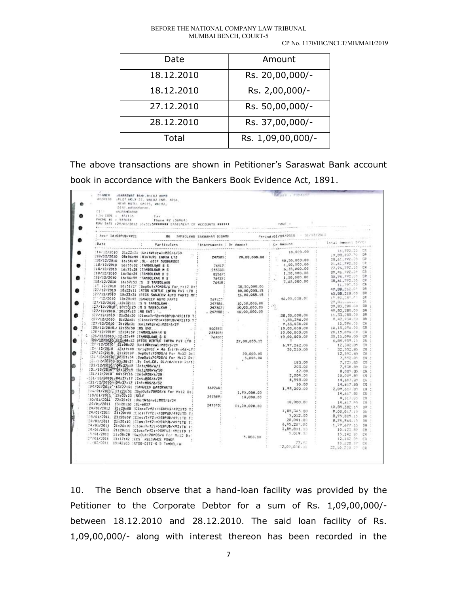#### BEFORE THE NATIONAL COMPANY LAW TRIBUNAL MUMBAI BENCH, COURT-5

#### CP No. 1170/IBC/NCLT/MB/MAH/2019

| Date       | Amount            |
|------------|-------------------|
| 18.12.2010 | Rs. 20,00,000/-   |
| 18.12.2010 | Rs. 2,00,000/-    |
| 27.12.2010 | Rs. 50,00,000/-   |
| 28.12.2010 | Rs. 37,00,000/-   |
| Total      | Rs. 1,09,00,000/- |

The above transactions are shown in Petitioner's Saraswat Bank account book in accordance with the Bankers Book Evidence Act, 1891.

| <b>FRANKLIN</b><br>SHARASWAT BAM, MILLIS AMPD<br>ADDRESS : FLDT MO.X-23, WALUJ IND. AREA.<br>HEAR HOTEL DASTS, WALUJ,                                                                                                                              |                                                         |                                                    | <b>MARCH A. Balleck Scott</b>                                                                                                                                                                                                                                                                               |                          |
|----------------------------------------------------------------------------------------------------------------------------------------------------------------------------------------------------------------------------------------------------|---------------------------------------------------------|----------------------------------------------------|-------------------------------------------------------------------------------------------------------------------------------------------------------------------------------------------------------------------------------------------------------------------------------------------------------------|--------------------------|
| DIST_AURANGAPAD                                                                                                                                                                                                                                    |                                                         |                                                    |                                                                                                                                                                                                                                                                                                             |                          |
| CI : : AURANGARAD                                                                                                                                                                                                                                  |                                                         |                                                    |                                                                                                                                                                                                                                                                                                             |                          |
| FEN CODE = 431136 = Fax = 1<br>PHONE #1 : 555044 = Fhone #2 : 564645                                                                                                                                                                               |                                                         |                                                    |                                                                                                                                                                                                                                                                                                             |                          |
|                                                                                                                                                                                                                                                    |                                                         |                                                    |                                                                                                                                                                                                                                                                                                             |                          |
| RUN DATE :29/01/2013 :0:02:1399199989 STATEMENT OF ACCOUNTS PERFECT CARD CARDE T                                                                                                                                                                   |                                                         |                                                    |                                                                                                                                                                                                                                                                                                             |                          |
|                                                                                                                                                                                                                                                    |                                                         |                                                    | sa minim                                                                                                                                                                                                                                                                                                    |                          |
|                                                                                                                                                                                                                                                    |                                                         |                                                    |                                                                                                                                                                                                                                                                                                             |                          |
| $D = t e$                                                                                                                                                                                                                                          |                                                         |                                                    |                                                                                                                                                                                                                                                                                                             | Total Amount Drift       |
|                                                                                                                                                                                                                                                    |                                                         |                                                    | $\begin{array}{c cccc} \hline & 10,600,00 & 1 & 11,772\cdot 10 & 12\\ \hline & 10,600,00 & 19,83,207\cdot 76 & 19\\ \hline & 1,90,900,00 & 20,61,772\cdot 10 & 12\\ \hline & 1,90,900,00 & 27,94,772\cdot 10 & 12\\ \hline & 6,35,000,00 & 27,94,772\cdot 10 & 12\\ \hline & 1,50,000,00 & 30,96,722\cdot $ |                          |
| 14/12/2010 21:22:21 :UnitWidrw1:MDS/6/30                                                                                                                                                                                                           |                                                         | <b>The Company's Company's Company's Company's</b> |                                                                                                                                                                                                                                                                                                             |                          |
| 18/12/2010 08:56:44   WIRTURE INDIA LTD                                                                                                                                                                                                            |                                                         | 247585. 20,00.000.00                               |                                                                                                                                                                                                                                                                                                             |                          |
| 18/12/2010 16:54:47 ;SL- 6057 DUSBURSED                                                                                                                                                                                                            |                                                         |                                                    |                                                                                                                                                                                                                                                                                                             |                          |
| 18/12/2010 16:55:02 :TAMBOLKAR S S                                                                                                                                                                                                                 | $\begin{array}{c} 24417 \\ 255303 \\ 22967 \end{array}$ |                                                    |                                                                                                                                                                                                                                                                                                             |                          |
|                                                                                                                                                                                                                                                    |                                                         |                                                    |                                                                                                                                                                                                                                                                                                             |                          |
|                                                                                                                                                                                                                                                    |                                                         |                                                    |                                                                                                                                                                                                                                                                                                             |                          |
|                                                                                                                                                                                                                                                    |                                                         |                                                    |                                                                                                                                                                                                                                                                                                             |                          |
|                                                                                                                                                                                                                                                    |                                                         |                                                    |                                                                                                                                                                                                                                                                                                             | 11,797.30 CR             |
|                                                                                                                                                                                                                                                    |                                                         | 38.50.000.00 :                                     |                                                                                                                                                                                                                                                                                                             | 49.88.060.05<br>DR       |
|                                                                                                                                                                                                                                                    |                                                         | 50.00.055.15                                       |                                                                                                                                                                                                                                                                                                             | 65.88.318.00 DR          |
| 18/12/2010 16:55:30 :TAMBOLKAR M 5<br>18/12/2010 16:56:39 :TAMBOLKAR M 5<br>18/12/2010 16:56:59 :TAMBOLKAR M 5<br>18/12/2010 16:56:59 :TAMBOLKAR M 5<br>17.12/2010 19:57:55 :S TAMBOLAR<br>17.12/2010 19:22:11 :RTGS SCANTER APTIC THE T           |                                                         | 16.00.055.15 :                                     | 46.05.038.04                                                                                                                                                                                                                                                                                                | 17.83.185.53<br>四尾       |
|                                                                                                                                                                                                                                                    |                                                         |                                                    |                                                                                                                                                                                                                                                                                                             | $29.831 - 0011$<br>DK.   |
|                                                                                                                                                                                                                                                    |                                                         | 10.00.000.00 :                                     |                                                                                                                                                                                                                                                                                                             | 39.85,280.00<br>DR.      |
| $[27/12/2010 - 10132111] \n5 5 7AB0LKAR$ $[27/12/2010 - 10132112] \n5 5 7AB0LKAR$ $[27/12/2010 - 1013212] \n5 6 7AB0LKAR$ $247357$ $[27/12/2010 - 2112613] \n5 6M - 1.$ $[27/12/2010 - 2112613] \n5 6M - 1.$ $[27/12/2010 - 2112613] \n6 7ABOLKAR$ |                                                         | 10.00.000.00                                       | $10,00,000.00$ :<br>$10,00,000.00$ : $2$<br>$10,00,000.00$ :                                                                                                                                                                                                                                                | 49.83.280.00<br>DR       |
|                                                                                                                                                                                                                                                    |                                                         |                                                    | 38.50.000.00                                                                                                                                                                                                                                                                                                | 11,33,280.00<br>DR.      |
| ?27/12/2010 21:26:31 :CloseTrf2:=>SBPUB/4921TD T;                                                                                                                                                                                                  |                                                         | and the control                                    | 1,85,346.00                                                                                                                                                                                                                                                                                                 | 9.47.934.00<br>DR.       |
|                                                                                                                                                                                                                                                    |                                                         |                                                    | 9,63,030.00 :                                                                                                                                                                                                                                                                                               | 15,096.00<br>CR          |
|                                                                                                                                                                                                                                                    |                                                         |                                                    |                                                                                                                                                                                                                                                                                                             | 10.15.096.00<br>CR       |
|                                                                                                                                                                                                                                                    |                                                         |                                                    | $10,00,000.00$ :<br>$10,00,000.00$ :                                                                                                                                                                                                                                                                        | 20.15.096.00<br>广告       |
|                                                                                                                                                                                                                                                    |                                                         |                                                    | 10.00.000.00                                                                                                                                                                                                                                                                                                | 30.15.096.00<br>CR       |
|                                                                                                                                                                                                                                                    |                                                         | 37.00.055.15 :                                     | ing Armans                                                                                                                                                                                                                                                                                                  | 6.84.959.15<br>DR:       |
| $[27/12/2010] = 21726131 [Uni1MHz1-1195/6/29] = 5003931\n[27/12/2010] = 2255330 (ini1MHz1-1195/6/29) = 5003931\n[28/12/2010] = 1255459 [1AM801kHz4e2 H2]\n[28/12/2010] = 1255459 [1AM801kHz4e2 H2]\n[28/12/2010] = 2253583$                        |                                                         |                                                    | 6.97.262.00                                                                                                                                                                                                                                                                                                 | 12,302.85<br><b>CR</b>   |
| : 12/2010   21:08:22  UnitWtdrw1:hosporzy<br> 27/12/2010   11:19:08   OrigBrCd = 46 Ini/Fried-LT:<br> 29/12/2010   21:20:09   SupDut:70MDS/6 For M:12 D: <br> 29/12/2010   21:20:09   Eughi:r30MDS/6 For M:12 D:                                   |                                                         |                                                    | 20,250.00                                                                                                                                                                                                                                                                                                   | 32.552.85                |
|                                                                                                                                                                                                                                                    |                                                         | 20,000.00 :                                        |                                                                                                                                                                                                                                                                                                             | 12, 357.85<br>CR.        |
|                                                                                                                                                                                                                                                    |                                                         | 5,000.00 :                                         |                                                                                                                                                                                                                                                                                                             | 7,552.85<br>FR:          |
| (3) /12/2010+ 03:38:35 .By int.CR. 01/10/2010-31/1;                                                                                                                                                                                                |                                                         |                                                    | 183.00                                                                                                                                                                                                                                                                                                      | 7.733.85 CR              |
| :31/12/2010/04:37:15 Int:MDS/6/1                                                                                                                                                                                                                   |                                                         |                                                    | 203.00 :                                                                                                                                                                                                                                                                                                    | 7.938.85<br>CR.          |
| 131/12/2010-04:37115 :iniiHDB/6/10                                                                                                                                                                                                                 |                                                         |                                                    | 67.00                                                                                                                                                                                                                                                                                                       | 8.005.85<br>CR           |
| :31/12/2010 04:37:16 :Intemps/6/28                                                                                                                                                                                                                 |                                                         |                                                    | 2,004.00 :                                                                                                                                                                                                                                                                                                  | 10.009.95<br>CR :        |
| $-(51/12/2010)/04:37:17:1n1:MD5/A/29$                                                                                                                                                                                                              |                                                         |                                                    | 4.598.00 :                                                                                                                                                                                                                                                                                                  | 14,507.85                |
| .:31/12/2010.04:37:17 :Int:MDS/6/32                                                                                                                                                                                                                |                                                         |                                                    | 10.00                                                                                                                                                                                                                                                                                                       | 14.617.95<br>CR.         |
| .31/12/2010.704:37:17 :Int:MDS/6/32<br>:04/01/2011 :13/27:51 :SANJEEV UATOPARTS                                                                                                                                                                    | 569260:                                                 |                                                    | 1,95,000.00 :                                                                                                                                                                                                                                                                                               | 2.09.517.85<br>CR :      |
| 104/01/2011 21:23:51 :SupOut:70MD6/6 For M:12 D:                                                                                                                                                                                                   | and and P                                               | 1.75.000.00                                        |                                                                                                                                                                                                                                                                                                             | 14.617.85 CR             |
| '10/01/2011 '15:02:23 'SELF                                                                                                                                                                                                                        | 247589:                                                 | 10,000.00                                          | refysion in the second process.<br>The process of the contract of the contract of the contract of the contract of the contract of the contract of<br>The contract of the contract of the contract of the contract of the contract of                                                                        | 4.517.85<br>CR.          |
|                                                                                                                                                                                                                                                    |                                                         |                                                    | 10.000.00 :                                                                                                                                                                                                                                                                                                 | 14, 517. 85<br>白菜        |
| 24/01/2011 13:20:30 (SL-6037                                                                                                                                                                                                                       | 2475601                                                 | 11.00.000.00                                       |                                                                                                                                                                                                                                                                                                             | 10.85.382.15<br>3R       |
| 24/01/2011 21:20:08 CloseTr#2:4>EBPUB/4921TD T:                                                                                                                                                                                                    |                                                         |                                                    | 1,85,365.00                                                                                                                                                                                                                                                                                                 | 9.00.017.15<br><b>DK</b> |
| 24/01/2011 21:20:08 :Clos:Trf2:=>SBPUR/4921TD T:                                                                                                                                                                                                   |                                                         |                                                    | 5.012.00                                                                                                                                                                                                                                                                                                    | 58                       |
| 174/01/2011, 21:20:09 :Clos:Trf2:=>SBPUB/4921TD T!                                                                                                                                                                                                 |                                                         |                                                    | 20.041.00 :                                                                                                                                                                                                                                                                                                 | 8,95,005.15              |
| 24/01/2011 21:20:10 :Clos:Trf2:=>SBPUB/4921TD T:                                                                                                                                                                                                   |                                                         |                                                    | 6,95,287.00 :                                                                                                                                                                                                                                                                                               | B, 74, 964.15<br>DR      |
| 24/01/2011 21:20:10 :Clos:Trf2:=>SBPUB/4921TD I'                                                                                                                                                                                                   |                                                         |                                                    | 1,89,801.00 :                                                                                                                                                                                                                                                                                               | 1,79,677.15<br>DR.       |
| 24/01/2011 21:20:11 (ClosiTrf2:=>SBPUE.4921TD T'                                                                                                                                                                                                   |                                                         |                                                    |                                                                                                                                                                                                                                                                                                             | 10.123.85<br>CR.         |
| 5/01/2011 21:08:28 (Swa0ut:70MDS/6 For M:12 D:"                                                                                                                                                                                                    |                                                         | 5.000.00                                           | 5,019 2.                                                                                                                                                                                                                                                                                                    | 15,142 99                |
| 27/01/2011 15:17:42 ECS RELIANCE POWER                                                                                                                                                                                                             |                                                         |                                                    |                                                                                                                                                                                                                                                                                                             | 10,142 05<br>CR          |
| 02/2011 15:42:03 :RTGS-CITI-S D TAMMOL+A                                                                                                                                                                                                           |                                                         |                                                    | 77.97                                                                                                                                                                                                                                                                                                       | 10,220.37<br>CR          |
|                                                                                                                                                                                                                                                    |                                                         |                                                    | 2.00.000.00                                                                                                                                                                                                                                                                                                 | 22,10,200.77<br>CR       |

10. The Bench observe that a hand-loan facility was provided by the Petitioner to the Corporate Debtor for a sum of Rs. 1,09,00,000/ between 18.12.2010 and 28.12.2010. The said loan facility of Rs. 1,09,00,000/- along with interest thereon has been recorded in the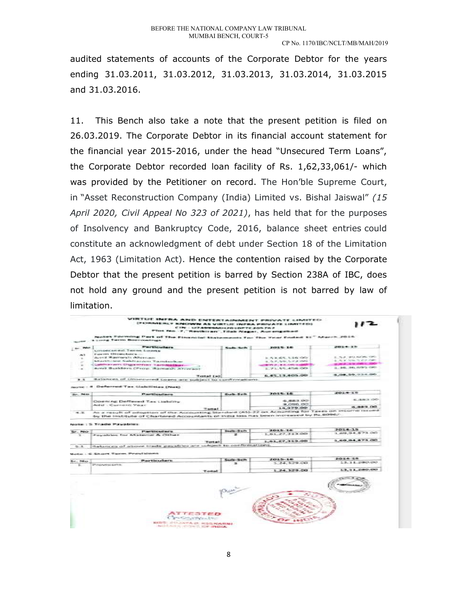audited statements of accounts of the Corporate Debtor for the years ending 31.03.2011, 31.03.2012, 31.03.2013, 31.03.2014, 31.03.2015 and 31.03.2016.

11. This Bench also take a note that the present petition is filed on 26.03.2019. The Corporate Debtor in its financial account statement for the financial year 2015-2016, under the head "Unsecured Term Loans", the Corporate Debtor recorded loan facility of Rs. 1,62,33,061/- which was provided by the Petitioner on record. The Hon'ble Supreme Court, in "Asset Reconstruction Company (India) Limited vs. Bishal Jaiswal" (15 April 2020, Civil Appeal No 323 of 2021), has held that for the purposes of Insolvency and Bankruptcy Code, 2016, balance sheet entries could constitute an acknowledgment of debt under Section 18 of the Limitation Act, 1963 (Limitation Act). Hence the contention raised by the Corporate Debtor that the present petition is barred by Section 238A of IBC, does not hold any ground and the present petition is not barred by law of limitation.

|                   | VIRTUE INFRA AND ENTERTAINMENT PRIVATE LIMITED<br><b>IFORMERLY KNOWN AS VIRTUAL INFRA PRIVATE LIMITED)</b><br>CIN : UZAMMMANURDUDPTC.205.767<br>Plot No. 7, "Revisions", Tital: Nagar, Aucongabad |                           |                                                        |                                   |
|-------------------|---------------------------------------------------------------------------------------------------------------------------------------------------------------------------------------------------|---------------------------|--------------------------------------------------------|-----------------------------------|
|                   | Notes Forming Part of The Einancial Statements for the Year Ended St." March 2016.<br>a comp furrow Boreversalings.                                                                               |                           |                                                        |                                   |
| $-$ PM $-$        | <b>Particulars</b>                                                                                                                                                                                | Saib Sch                  | 2012年12月                                               | 2010-0-13                         |
|                   | Limsecuted Term Lowes                                                                                                                                                                             |                           |                                                        |                                   |
| JALTE.            | Fascent Directors -                                                                                                                                                                               |                           |                                                        | 2. Tuy, 80 Kings, CIRL            |
| $\rightarrow$     | dured Warrock's difference.                                                                                                                                                                       |                           | 21 - PE W. PE W. R. L. R. C. CONTIN                    | 2. SLY 328-5-P-2-080.             |
|                   | Marthiane Sakharam Tambolkar<br>Classifica carry Ungarm from Tarminghillians                                                                                                                      |                           | 2.57.59.572.00                                         | STAND THE WALL CARD TO            |
| $\rightarrow$     | Arrel Builders (Prop. Ramesh Afrecan)                                                                                                                                                             |                           | <b>SERVICE . IN THE CONSTRUCTION</b><br>1.71.55.456.00 | 3.86.96.695.00.                   |
| $-10$             |                                                                                                                                                                                                   |                           |                                                        |                                   |
|                   | Transact diam'r.                                                                                                                                                                                  |                           | 6,45,13,605.00                                         | 5,08,59,934.00                    |
| * *               | Balances of Umprouved Loans are subject to confirmations.                                                                                                                                         |                           |                                                        |                                   |
| Sec. 2600         | serie : 4 Deferred Tax Liabilities (Net)<br><b>Particulars</b>                                                                                                                                    | Sub-Sch                   | 2015-16                                                | 2014-15                           |
|                   |                                                                                                                                                                                                   |                           | 6,883,001                                              | 45, 26, 26, 25, 25, 25,           |
|                   | Downing Deffered Tax Liability                                                                                                                                                                    |                           | <b>BLOSS 00</b>                                        |                                   |
|                   | Add - Carterit Year<br>Tremat                                                                                                                                                                     |                           | 14,979.00                                              | 6.883.00                          |
|                   | Norte: : S. Trade Pavables                                                                                                                                                                        |                           |                                                        |                                   |
| Sr. No.<br>TE.    | Particulars.<br>Payables for Material & Other                                                                                                                                                     | Seattle-Sicht<br>$\equiv$ | $2015 - 36$<br>1.61.27.313.00                          | $2014 - 15$                       |
|                   | Testable                                                                                                                                                                                          |                           | 1.61.27.313.00                                         | 1 424 94 873 00<br>1.69.94.873.00 |
| $5 - 1$           | dalances of above trade gavables are subject to confernations.                                                                                                                                    |                           |                                                        |                                   |
|                   | Note: 6 Short Term Provisions                                                                                                                                                                     |                           |                                                        |                                   |
|                   |                                                                                                                                                                                                   |                           | $2015 - 16$                                            | 2014-15                           |
| Sr. 160<br>$\sim$ | <b>Particulars</b><br>Photos with Early In                                                                                                                                                        | Suite-Sch.<br>玉           | 3.24, 329.00                                           | 13.11.280.00                      |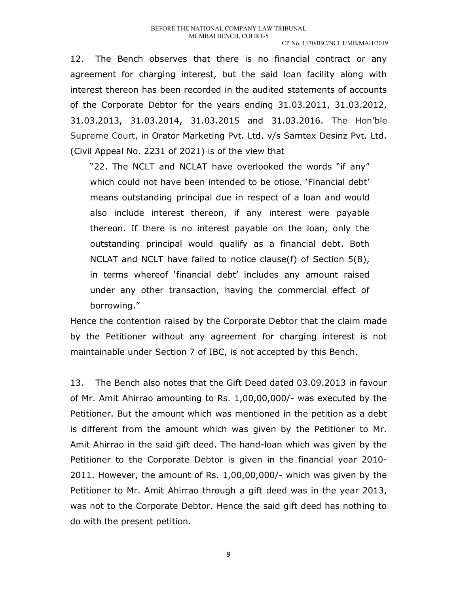12. The Bench observes that there is no financial contract or any agreement for charging interest, but the said loan facility along with interest thereon has been recorded in the audited statements of accounts of the Corporate Debtor for the years ending 31.03.2011, 31.03.2012, 31.03.2013, 31.03.2014, 31.03.2015 and 31.03.2016. The Hon'ble Supreme Court, in Orator Marketing Pvt. Ltd. v/s Samtex Desinz Pvt. Ltd. (Civil Appeal No. 2231 of 2021) is of the view that

"22. The NCLT and NCLAT have overlooked the words "if any" which could not have been intended to be otiose. 'Financial debt' means outstanding principal due in respect of a loan and would also include interest thereon, if any interest were payable thereon. If there is no interest payable on the loan, only the outstanding principal would qualify as a financial debt. Both NCLAT and NCLT have failed to notice clause(f) of Section 5(8), in terms whereof 'financial debt' includes any amount raised under any other transaction, having the commercial effect of borrowing."

Hence the contention raised by the Corporate Debtor that the claim made by the Petitioner without any agreement for charging interest is not maintainable under Section 7 of IBC, is not accepted by this Bench.

13. The Bench also notes that the Gift Deed dated 03.09.2013 in favour of Mr. Amit Ahirrao amounting to Rs. 1,00,00,000/- was executed by the Petitioner. But the amount which was mentioned in the petition as a debt is different from the amount which was given by the Petitioner to Mr. Amit Ahirrao in the said gift deed. The hand-loan which was given by the Petitioner to the Corporate Debtor is given in the financial year 2010- 2011. However, the amount of Rs. 1,00,00,000/- which was given by the Petitioner to Mr. Amit Ahirrao through a gift deed was in the year 2013, was not to the Corporate Debtor. Hence the said gift deed has nothing to do with the present petition.

9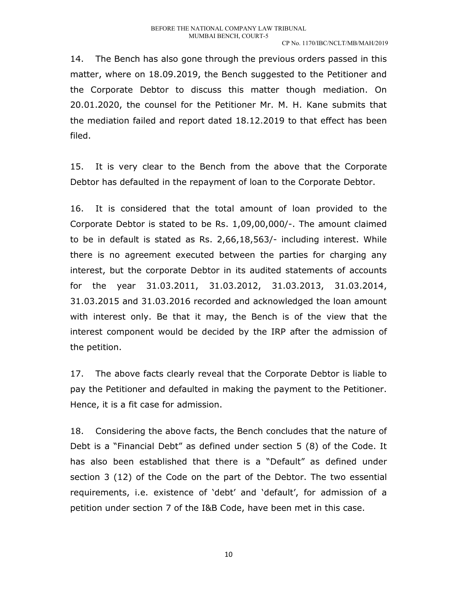14. The Bench has also gone through the previous orders passed in this matter, where on 18.09.2019, the Bench suggested to the Petitioner and the Corporate Debtor to discuss this matter though mediation. On 20.01.2020, the counsel for the Petitioner Mr. M. H. Kane submits that the mediation failed and report dated 18.12.2019 to that effect has been filed.

15. It is very clear to the Bench from the above that the Corporate Debtor has defaulted in the repayment of loan to the Corporate Debtor.

16. It is considered that the total amount of loan provided to the Corporate Debtor is stated to be Rs. 1,09,00,000/-. The amount claimed to be in default is stated as Rs. 2,66,18,563/- including interest. While there is no agreement executed between the parties for charging any interest, but the corporate Debtor in its audited statements of accounts for the year 31.03.2011, 31.03.2012, 31.03.2013, 31.03.2014, 31.03.2015 and 31.03.2016 recorded and acknowledged the loan amount with interest only. Be that it may, the Bench is of the view that the interest component would be decided by the IRP after the admission of the petition.

17. The above facts clearly reveal that the Corporate Debtor is liable to pay the Petitioner and defaulted in making the payment to the Petitioner. Hence, it is a fit case for admission.

18. Considering the above facts, the Bench concludes that the nature of Debt is a "Financial Debt" as defined under section 5 (8) of the Code. It has also been established that there is a "Default" as defined under section 3 (12) of the Code on the part of the Debtor. The two essential requirements, i.e. existence of 'debt' and 'default', for admission of a petition under section 7 of the I&B Code, have been met in this case.

10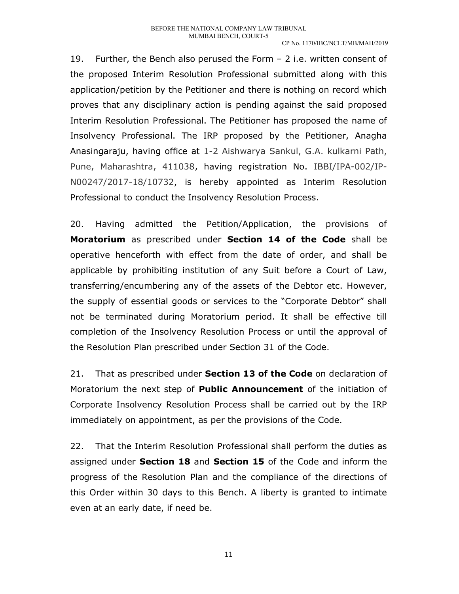#### CP No. 1170/IBC/NCLT/MB/MAH/2019

19. Further, the Bench also perused the Form – 2 i.e. written consent of the proposed Interim Resolution Professional submitted along with this application/petition by the Petitioner and there is nothing on record which proves that any disciplinary action is pending against the said proposed Interim Resolution Professional. The Petitioner has proposed the name of Insolvency Professional. The IRP proposed by the Petitioner, Anagha Anasingaraju, having office at 1-2 Aishwarya Sankul, G.A. kulkarni Path, Pune, Maharashtra, 411038, having registration No. IBBI/IPA-002/IP-N00247/2017-18/10732, is hereby appointed as Interim Resolution Professional to conduct the Insolvency Resolution Process.

20. Having admitted the Petition/Application, the provisions of Moratorium as prescribed under Section 14 of the Code shall be operative henceforth with effect from the date of order, and shall be applicable by prohibiting institution of any Suit before a Court of Law, transferring/encumbering any of the assets of the Debtor etc. However, the supply of essential goods or services to the "Corporate Debtor" shall not be terminated during Moratorium period. It shall be effective till completion of the Insolvency Resolution Process or until the approval of the Resolution Plan prescribed under Section 31 of the Code.

21. That as prescribed under **Section 13 of the Code** on declaration of Moratorium the next step of **Public Announcement** of the initiation of Corporate Insolvency Resolution Process shall be carried out by the IRP immediately on appointment, as per the provisions of the Code.

22. That the Interim Resolution Professional shall perform the duties as assigned under Section 18 and Section 15 of the Code and inform the progress of the Resolution Plan and the compliance of the directions of this Order within 30 days to this Bench. A liberty is granted to intimate even at an early date, if need be.

11